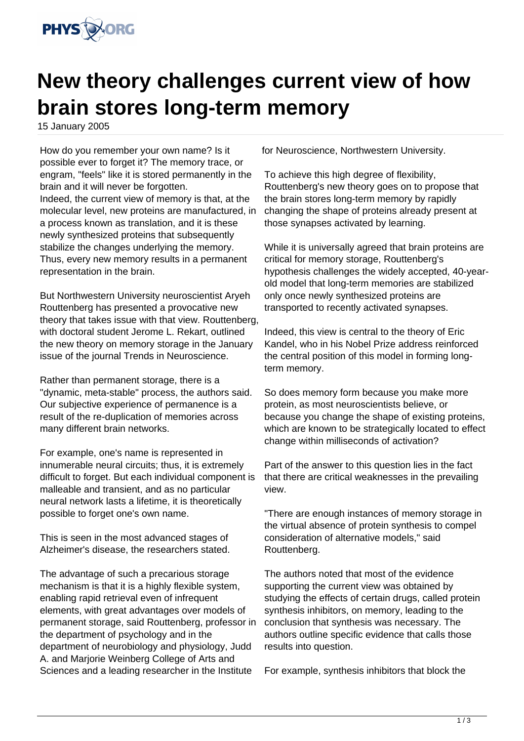

## **New theory challenges current view of how brain stores long-term memory**

15 January 2005

How do you remember your own name? Is it possible ever to forget it? The memory trace, or engram, "feels" like it is stored permanently in the brain and it will never be forgotten. Indeed, the current view of memory is that, at the molecular level, new proteins are manufactured, in a process known as translation, and it is these newly synthesized proteins that subsequently stabilize the changes underlying the memory. Thus, every new memory results in a permanent representation in the brain.

But Northwestern University neuroscientist Aryeh Routtenberg has presented a provocative new theory that takes issue with that view. Routtenberg, with doctoral student Jerome L. Rekart, outlined the new theory on memory storage in the January issue of the journal Trends in Neuroscience.

Rather than permanent storage, there is a "dynamic, meta-stable" process, the authors said. Our subjective experience of permanence is a result of the re-duplication of memories across many different brain networks.

For example, one's name is represented in innumerable neural circuits; thus, it is extremely difficult to forget. But each individual component is malleable and transient, and as no particular neural network lasts a lifetime, it is theoretically possible to forget one's own name.

This is seen in the most advanced stages of Alzheimer's disease, the researchers stated.

The advantage of such a precarious storage mechanism is that it is a highly flexible system, enabling rapid retrieval even of infrequent elements, with great advantages over models of permanent storage, said Routtenberg, professor in the department of psychology and in the department of neurobiology and physiology, Judd A. and Marjorie Weinberg College of Arts and Sciences and a leading researcher in the Institute

for Neuroscience, Northwestern University.

To achieve this high degree of flexibility, Routtenberg's new theory goes on to propose that the brain stores long-term memory by rapidly changing the shape of proteins already present at those synapses activated by learning.

While it is universally agreed that brain proteins are critical for memory storage, Routtenberg's hypothesis challenges the widely accepted, 40-yearold model that long-term memories are stabilized only once newly synthesized proteins are transported to recently activated synapses.

Indeed, this view is central to the theory of Eric Kandel, who in his Nobel Prize address reinforced the central position of this model in forming longterm memory.

So does memory form because you make more protein, as most neuroscientists believe, or because you change the shape of existing proteins, which are known to be strategically located to effect change within milliseconds of activation?

Part of the answer to this question lies in the fact that there are critical weaknesses in the prevailing view.

"There are enough instances of memory storage in the virtual absence of protein synthesis to compel consideration of alternative models," said Routtenberg.

The authors noted that most of the evidence supporting the current view was obtained by studying the effects of certain drugs, called protein synthesis inhibitors, on memory, leading to the conclusion that synthesis was necessary. The authors outline specific evidence that calls those results into question.

For example, synthesis inhibitors that block the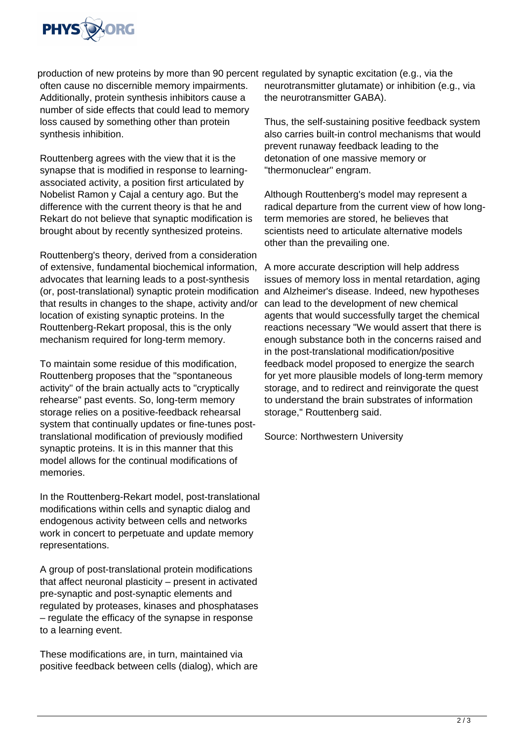

production of new proteins by more than 90 percent regulated by synaptic excitation (e.g., via the often cause no discernible memory impairments. Additionally, protein synthesis inhibitors cause a number of side effects that could lead to memory loss caused by something other than protein synthesis inhibition.

Routtenberg agrees with the view that it is the synapse that is modified in response to learningassociated activity, a position first articulated by Nobelist Ramon y Cajal a century ago. But the difference with the current theory is that he and Rekart do not believe that synaptic modification is brought about by recently synthesized proteins.

Routtenberg's theory, derived from a consideration of extensive, fundamental biochemical information, advocates that learning leads to a post-synthesis (or, post-translational) synaptic protein modification that results in changes to the shape, activity and/or location of existing synaptic proteins. In the Routtenberg-Rekart proposal, this is the only mechanism required for long-term memory.

To maintain some residue of this modification, Routtenberg proposes that the "spontaneous activity" of the brain actually acts to "cryptically rehearse" past events. So, long-term memory storage relies on a positive-feedback rehearsal system that continually updates or fine-tunes posttranslational modification of previously modified synaptic proteins. It is in this manner that this model allows for the continual modifications of memories.

In the Routtenberg-Rekart model, post-translational modifications within cells and synaptic dialog and endogenous activity between cells and networks work in concert to perpetuate and update memory representations.

A group of post-translational protein modifications that affect neuronal plasticity – present in activated pre-synaptic and post-synaptic elements and regulated by proteases, kinases and phosphatases – regulate the efficacy of the synapse in response to a learning event.

These modifications are, in turn, maintained via positive feedback between cells (dialog), which are

neurotransmitter glutamate) or inhibition (e.g., via the neurotransmitter GABA).

Thus, the self-sustaining positive feedback system also carries built-in control mechanisms that would prevent runaway feedback leading to the detonation of one massive memory or "thermonuclear" engram.

Although Routtenberg's model may represent a radical departure from the current view of how longterm memories are stored, he believes that scientists need to articulate alternative models other than the prevailing one.

A more accurate description will help address issues of memory loss in mental retardation, aging and Alzheimer's disease. Indeed, new hypotheses can lead to the development of new chemical agents that would successfully target the chemical reactions necessary "We would assert that there is enough substance both in the concerns raised and in the post-translational modification/positive feedback model proposed to energize the search for yet more plausible models of long-term memory storage, and to redirect and reinvigorate the quest to understand the brain substrates of information storage," Routtenberg said.

Source: Northwestern University